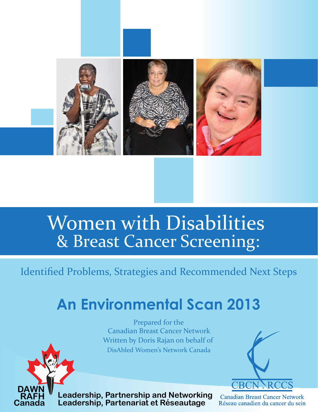

# Women with Disabilities & Breast Cancer Screening:

Identified Problems, Strategies and Recommended Next Steps

# **An Environmental Scan 2013**

Prepared for the Canadian Breast Cancer Network Written by Doris Rajan on behalf of DisAbled Women's Network Canada



**Leadership, Partnership and Networking** Leadership, Partenariat et Réseautage

**DAWN RAFH Canada**

**Canadian Breast Cancer Network** Réseau canadien du cancer du sein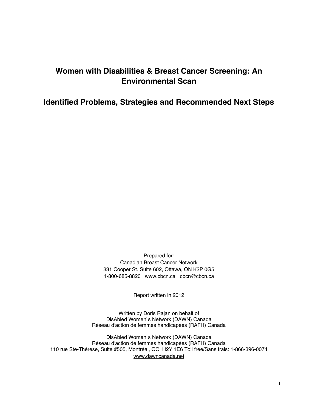# **Women with Disabilities & Breast Cancer Screening: An Environmental Scan**

**Identified Problems, Strategies and Recommended Next Steps** 

Prepared for: Canadian Breast Cancer Network 331 Cooper St. Suite 602, Ottawa, ON K2P 0G5 1-800-685-8820 www.cbcn.ca cbcn@cbcn.ca

Report written in 2012

Written by Doris Rajan on behalf of DisAbled Women`s Network (DAWN) Canada Réseau d'action de femmes handicapées (RAFH) Canada

DisAbled Women`s Network (DAWN) Canada Réseau d'action de femmes handicapées (RAFH) Canada 110 rue Ste-Thérese, Suite #505, Montréal, QC H2Y 1E6 Toll free/Sans frais: 1-866-396-0074 www.dawncanada.net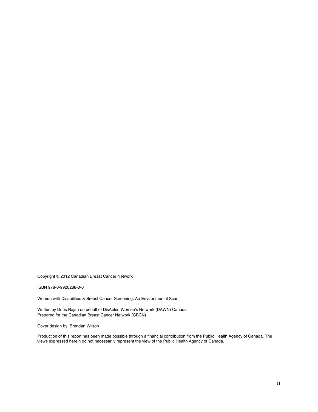Copyright © 2012 Canadian Breast Cancer Network

ISBN 978-0-9920288-0-0

Women with Disabilities & Breast Cancer Screening: An Environmental Scan

Written by Doris Rajan on behalf of DisAbled Women's Network (DAWN) Canada Prepared for the Canadian Breast Cancer Network (CBCN)

Cover design by: Brendan Wilson

Production of this report has been made possible through a financial contribution from the Public Health Agency of Canada. The views expressed herein do not necessarily represent the view of the Public Health Agency of Canada.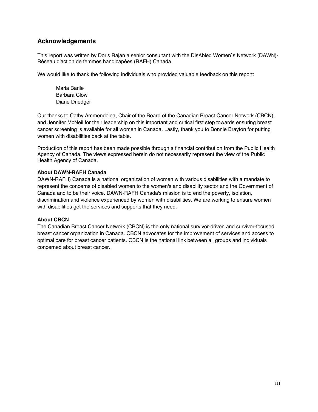# **Acknowledgements**

This report was written by Doris Rajan a senior consultant with the DisAbled Women`s Network (DAWN)- Réseau d'action de femmes handicapées (RAFH) Canada.

We would like to thank the following individuals who provided valuable feedback on this report:

Maria Barile Barbara Clow Diane Driedger

Our thanks to Cathy Ammendolea, Chair of the Board of the Canadian Breast Cancer Network (CBCN), and Jennifer McNeil for their leadership on this important and critical first step towards ensuring breast cancer screening is available for all women in Canada. Lastly, thank you to Bonnie Brayton for putting women with disabilities back at the table.

Production of this report has been made possible through a financial contribution from the Public Health Agency of Canada. The views expressed herein do not necessarily represent the view of the Public Health Agency of Canada.

#### **About DAWN-RAFH Canada**

DAWN-RAFH) Canada is a national organization of women with various disabilities with a mandate to represent the concerns of disabled women to the women's and disability sector and the Government of Canada and to be their voice. DAWN-RAFH Canada's mission is to end the poverty, isolation, discrimination and violence experienced by women with disabilities. We are working to ensure women with disabilities get the services and supports that they need.

#### **About CBCN**

The Canadian Breast Cancer Network (CBCN) is the only national survivor-driven and survivor-focused breast cancer organization in Canada. CBCN advocates for the improvement of services and access to optimal care for breast cancer patients. CBCN is the national link between all groups and individuals concerned about breast cancer.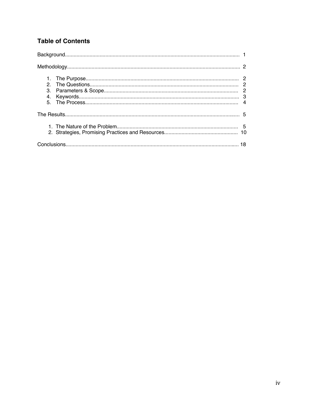# **Table of Contents**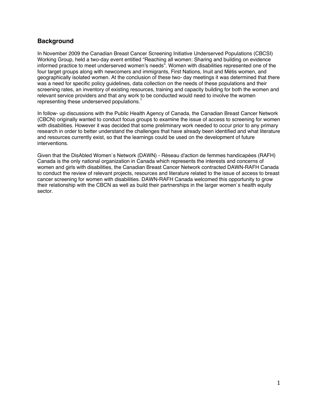# **Background**

In November 2009 the Canadian Breast Cancer Screening Initiative Underserved Populations (CBCSI) Working Group, held a two-day event entitled "Reaching all women: Sharing and building on evidence informed practice to meet underserved women's needs". Women with disabilities represented one of the four target groups along with newcomers and immigrants, First Nations, Inuit and Métis women, and geographically isolated women. At the conclusion of these two- day meetings it was determined that there was a need for specific policy guidelines, data collection on the needs of these populations and their screening rates, an inventory of existing resources, training and capacity building for both the women and relevant service providers and that any work to be conducted would need to involve the women representing these underserved populations.<sup>1</sup>

In follow- up discussions with the Public Health Agency of Canada, the Canadian Breast Cancer Network (CBCN) originally wanted to conduct focus groups to examine the issue of access to screening for women with disabilities. However it was decided that some preliminary work needed to occur prior to any primary research in order to better understand the challenges that have already been identified and what literature and resources currently exist, so that the learnings could be used on the development of future interventions.

Given that the DisAbled Women`s Network (DAWN) - Réseau d'action de femmes handicapées (RAFH) Canada is the only national organization in Canada which represents the interests and concerns of women and girls with disabilities, the Canadian Breast Cancer Network contracted DAWN-RAFH Canada to conduct the review of relevant projects, resources and literature related to the issue of access to breast cancer screening for women with disabilities. DAWN-RAFH Canada welcomed this opportunity to grow their relationship with the CBCN as well as build their partnerships in the larger women`s health equity sector.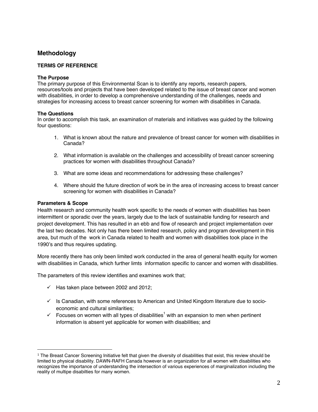# **Methodology**

#### **TERMS OF REFERENCE**

#### **The Purpose**

The primary purpose of this Environmental Scan is to identify any reports, research papers, resources/tools and projects that have been developed related to the issue of breast cancer and women with disabilities, in order to develop a comprehensive understanding of the challenges, needs and strategies for increasing access to breast cancer screening for women with disabilities in Canada.

#### **The Questions**

In order to accomplish this task, an examination of materials and initiatives was guided by the following four questions:

- 1. What is known about the nature and prevalence of breast cancer for women with disabilities in Canada?
- 2. What information is available on the challenges and accessibility of breast cancer screening practices for women with disabilities throughout Canada?
- 3. What are some ideas and recommendations for addressing these challenges?
- 4. Where should the future direction of work be in the area of increasing access to breast cancer screening for women with disabilities in Canada?

#### **Parameters & Scope**

Health research and community health work specific to the needs of women with disabilities has been intermittent or sporadic over the years, largely due to the lack of sustainable funding for research and project development. This has resulted in an ebb and flow of research and project implementation over the last two decades. Not only has there been limited research, policy and program development in this area, but much of the work in Canada related to health and women with disabilities took place in the 1990's and thus requires updating.

More recently there has only been limited work conducted in the area of general health equity for women with disabilities in Canada, which further limts information specific to cancer and women with disabilities.

The parameters of this review identifies and examines work that;

- $\checkmark$  Has taken place between 2002 and 2012;
- $\checkmark$  Is Canadian, with some references to American and United Kingdom literature due to socioeconomic and cultural similarities;
- $\checkmark$  Focuses on women with all types of disabilities<sup>1</sup> with an expansion to men when pertinent information is absent yet applicable for women with disabilities; and

j  $1$  The Breast Cancer Screening Initiative felt that given the diversity of disabilities that exist, this review should be limited to physical disability. DAWN-RAFH Canada however is an organization for all women with disabilities who recognizes the importance of understanding the intersection of various experiences of marginalization including the reality of multipe disabilties for many women.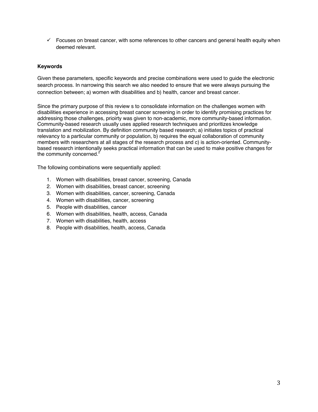$\checkmark$  Focuses on breast cancer, with some references to other cancers and general health equity when deemed relevant.

#### **Keywords**

Given these parameters, specific keywords and precise combinations were used to guide the electronic search process. In narrowing this search we also needed to ensure that we were always pursuing the connection between; a) women with disabilities and b) health, cancer and breast cancer.

Since the primary purpose of this review s to consolidate information on the challenges women with disabilities experience in accessing breast cancer screening in order to identify promising practices for addressing those challenges, prioirty was given to non-academic, more community-based information. Community-based research usually uses applied research techniques and prioritizes knowledge translation and mobilization. By definition community based research; a) initiates topics of practical relevancy to a particular community or population, b) requires the equal collaboration of community members with researchers at all stages of the research process and c) is action-oriented. Communitybased research intentionally seeks practical information that can be used to make positive changes for the community concerned.<sup>2</sup>

The following combinations were sequentially applied:

- 1. Women with disabilities, breast cancer, screening, Canada
- 2. Women with disabilities, breast cancer, screening
- 3. Women with disabilities, cancer, screening, Canada
- 4. Women with disabilities, cancer, screening
- 5. People with disabilities, cancer
- 6. Women with disabilities, health, access, Canada
- 7. Women with disabilities, health, access
- 8. People with disabilities, health, access, Canada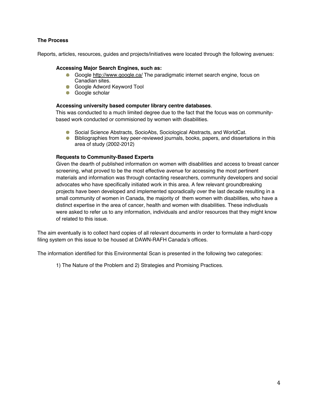#### **The Process**

Reports, articles, resources, guides and projects/initiatives were located through the following avenues:

#### **Accessing Major Search Engines, such as:**

- Google http://www.google.ca/ The paradigmatic internet search engine, focus on Canadian sites.
- Google Adword Keyword Tool
- **Google scholar**

#### **Accessing university based computer library centre databases**.

This was conducted to a much limited degree due to the fact that the focus was on communitybased work conducted or commisioned by women with disabilities.

- Social Science Abstracts, SocioAbs, Sociological Abstracts, and WorldCat.
- **Bibliographies from key peer-reviewed journals, books, papers, and dissertations in this** area of study (2002-2012)

#### **Requests to Community-Based Experts**

Given the dearth of published information on women with disabilities and access to breast cancer screening, what proved to be the most effective avenue for accessing the most pertinent materials and information was through contacting researchers, community developers and social advocates who have specifically initiated work in this area. A few relevant groundbreaking projects have been developed and implemented sporadically over the last decade resulting in a small community of women in Canada, the majority of them women with disabilities, who have a distinct expertise in the area of cancer, health and women with disabilities. These indivdiuals were asked to refer us to any information, individuals and and/or resources that they might know of related to this issue.

The aim eventually is to collect hard copies of all relevant documents in order to formulate a hard-copy filing system on this issue to be housed at DAWN-RAFH Canada's offices.

The information identified for this Environmental Scan is presented in the following two categories:

1) The Nature of the Problem and 2) Strategies and Promising Practices.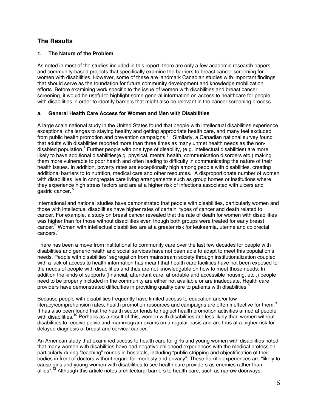# **The Results**

#### **1. The Nature of the Problem**

As noted in most of the studies included in this report, there are only a few academic research papers and community-based projects that specifically examine the barriers to breast cancer screening for women with disabilities. However, some of these are landmark Canadian studies with important findings that should serve as the foundation for future community development and knowledge mobilization efforts. Before examining work specific to the issue of women with disabilities and breast cancer screening, it would be useful to highlight some general information on access to healthcare for people with disabilities in order to identify barriers that might also be relevant in the cancer screening process.

#### **a. General Health Care Access for Women and Men with Disabilities**

A large scale national study in the United States found that people with intellectual disabilities experience exceptional challenges to staying healthy and getting appropriate health care, and many feel excluded from public health promotion and prevention campaigns.<sup>3</sup> Similarly, a Canadian national survey found that adults with disabilities reported more than three times as many unmet health needs as the nondisabled population.<sup>4</sup> Further people with one type of disability, (e.g. intellectual disabilities) are more likely to have additional disabilities(e.g. physical, mental health, communication disorders etc.) making them more vulnerable to poor health and often leading to difficulty in communicating the nature of their health issues. In addition, poverty rates are exceptionally high among people with disabilities, creating additional barriers to to nutrition, medical care and other resources. A disproportionate number of women with disabilities live in congregate care living arrangements such as group homes or institutions where they experience high stress factors and are at a higher risk of infections associated with ulcers and gastric cancer. 5

International and national studies have demonstrated that people with disabilities, particularly women and those with intellectual disabilities have higher rates of certain types of cancer and death related to cancer. For example, a study on breast cancer revealed that the rate of death for women with disabilities was higher than for those without disabilities even though both groups were treated for early breast cancer.<sup>6</sup> Women with intellectual disabilities are at a greater risk for leukaemia, uterine and colorectal cancers.<sup>7</sup>

There has been a move from institutional to community care over the last few decades for people with disabilities and generic health and social services have not been able to adapt to meet this population's needs. People with disabilities' segregation from mainstream society through institutionalization coupled with a lack of access to health information has meant that health care facilities have not been exposed to the needs of people with disabilities and thus are not knowledgable on how to meet those needs. In addition the kinds of supports (financial, attendant care, affordable and accessible housing, etc..) people need to be properly included in the community are either not available or are inadequate. Health care providers have demonstrated difficulties in providing quality care to patients with disabilities.<sup>8</sup>

Because people with disabilities frequently have limited access to education and/or low literacy/comprehension rates, health promotion resources and campaigns are often ineffective for them.<sup>9</sup> It has also been found that the health sector tends to neglect health promotion activities aimed at people with disabilities.<sup>10</sup> Perhaps as a result of this, women with disabilities are less likely than women without disabilities to receive pelvic and mammogram exams on a regular basis and are thus at a higher risk for delayed diagnosis of breast and cervical cancer.<sup>11</sup>

An American study that examined access to health care for girls and young women with disabilities noted that many women with disabilities have had negative childhood experiences with the medical profession particularly during "teaching" rounds in hospitals, including "public stripping and objectification of their bodies in front of doctors without regard for modesty and privacy". These horrific experiences are "likely to cause girls and young women with disabilities to see health care providers as enemies rather than allies".<sup>12</sup> Although this article notes architectural barriers to health care, such as narrow doorways,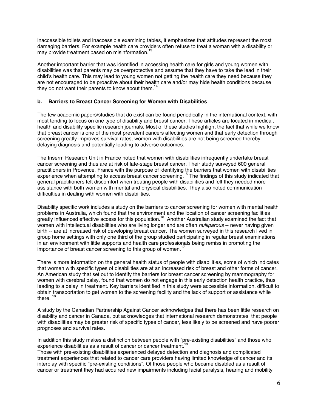inaccessible toilets and inaccessible examining tables, it emphasizes that attitudes represent the most damaging barriers. For example health care providers often refuse to treat a woman with a disability or may provide treatment based on misinformation.<sup>13</sup>

Another important barrier that was identified in accessing health care for girls and young women with disabilities was that parents may be overprotective and assume that they have to take the lead in their child's health care. This may lead to young women not getting the health care they need because they are not encouraged to be proactive about their health care and/or may hide health conditions because they do not want their parents to know about them.<sup>1</sup>

#### **b. Barriers to Breast Cancer Screening for Women with Disabilities**

The few academic papers/studies that do exist can be found periodically in the international context, with most tending to focus on one type of disability and breast cancer. These articles are located in medical, health and disability specific research journals. Most of these studies highlight the fact that while we know that breast cancer is one of the most prevalent cancers affecting women and that early detection through screening greatly improves survival rates, women with disabilities are not being screened thereby delaying diagnosis and potentially leading to adverse outcomes.

The Inserm Research Unit in France noted that women with disabilities infrequently undertake breast cancer screening and thus are at risk of late-stage breast cancer. Their study surveyed 600 general practitioners in Provence, France with the purpose of identifying the barriers that women with disabilities experience when attempting to access breast cancer screening.<sup>15</sup> The findings of this study indicated that general practitioners felt discomfort when treating people with disabilities and felt they needed more assistance with both women with mental and physical disabilities. They also noted communication difficulties in dealing with women with disabilities.

Disability specific work includes a study on the barriers to cancer screening for women with mental health problems in Australia, which found that the environment and the location of cancer screening facilities greatly influenced effective access for this population.<sup>16</sup> Another Australian study examined the fact that women with intellectual disabilities who are living longer and are often *nulliparous* -- never having given birth -- are at increased risk of developing breast cancer. The women surveyed in this research lived in group home settings with only one third of the group studied participating in regular breast examinations in an environment with little supports and health care professionals being remiss in promoting the importance of breast cancer screening to this group of women.<sup>17</sup>

There is more information on the general health status of people with disabilities, some of which indicates that women with specific types of disabilities are at an increased risk of breast and other forms of cancer. An American study that set out to identify the barriers for breast cancer screening by mammography for women with cerebral palsy, found that women do not engage in this early detection health practice, thus leading to a delay in treatment. Key barriers identified in this study were accessible information, difficult to obtain transportation to get women to the screening facility and the lack of support or assistance while there.<sup>18</sup>

A study by the Canadian Partnership Against Cancer acknowledges that there has been little research on disability and cancer in Canada, but acknowledges that international research demonstrates that people with disabilities may be greater risk of specific types of cancer, less likely to be screened and have poorer prognoses and survival rates.

In addition this study makes a distinction between people with "pre-existing disabilities" and those who experience disabilities as a result of cancer or cancer treatment.<sup>19</sup>

Those with pre-existing disabilities experienced delayed detection and diagnosis and complicated treatment experiences that related to cancer care providers having limited knowledge of cancer and its interplay with specific "pre-existing conditions". Of those people who became disabled as a result of cancer or treatment they had acquired new impairments including facial paralysis, hearing and mobility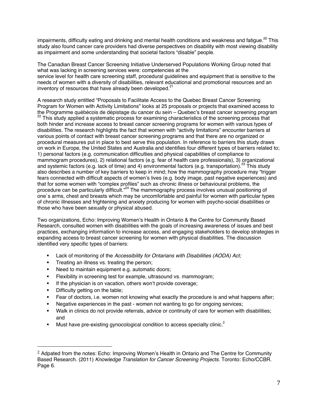impairments, difficulty eating and drinking and mental health conditions and weakness and fatigue.<sup>20</sup> This study also found cancer care providers had diverse perspectives on disability with most viewing disability as impairment and some understanding that societal factors "disable" people.

The Canadian Breast Cancer Screening Initiative Underserved Populations Working Group noted that what was lacking in screening services were: competencies at the service level for health care screening staff, procedural guidelines and equipment that is sensitive to the needs of women with a diversity of disabilities, relevant educational and promotional resources and an inventory of resources that have already been developed.<sup>2</sup>

A research study entitled "Proposals to Facilitate Access to the Quebec Breast Cancer Screening Program for Women with Activity Limitations" looks at 25 proposals or projects that examined access to<br>the Programme québécois de dépistage du cancer du sein – Quebec's breast cancer screening program <sup>22</sup> This study applied a systematic process for examining characteristics of the screening process that both hinder and increase access to breast cancer screening programs for women with various types of disabilities. The research highlights the fact that women with "activity limitations" encounter barriers at various points of contact with breast cancer screening programs and that there are no organized or procedural measures put in place to best serve this population. In reference to barriers this study draws on work in Europe, the United States and Australia and identifies four different types of barriers related to; 1) personal factors (e.g. communication difficulties and physical capabilities of compliance to mammogram procedures), 2) relational factors (e.g. fear of health care professionals), 3) organizational and systemic factors (e.g. lack of time) and 4) environmental factors (e.g. transportation).<sup>23</sup> This study also describes a number of key barriers to keep in mind; how the mammography procedure may "trigger fears connected with difficult aspects of women's lives (e.g. body image, past negative experiences) and that for some women with "complex profiles" such as chronic illness or behavioural problems, the procedure can be particularly difficult."<sup>24</sup> The mammography process involves unusual positioning of one`s arms, chest and breasts which may be uncomfortable and painful for women with particular types of chronic illnesses and frightening and anxiety producing for women with psycho-social disabilities or those who have been sexually or physical abused.

Two organizations, Echo: Improving Women's Health in Ontario & the Centre for Community Based Research, consulted women with disabilities with the goals of increasing awareness of issues and best practices, exchanging information to increase access, and engaging stakeholders to develop strategies in expanding access to breast cancer screening for women with physical disabilities. The discussion identified very specific types of barriers:

- Lack of monitoring of the *Accessibility for Ontarians with Disabilities (AODA) Act;*
- **Treating an illness vs. treating the person;**
- **Need to maintain equipment e.g. automatic doors;**
- **Flexibility in screening test for example, ultrasound vs. mammogram;**
- **If the physician is on vacation, others won't provide coverage;**
- **•** Difficulty getting on the table;
- Fear of doctors, i.e. women not knowing what exactly the procedure is and what happens after;
- Negative experiences in the past women not wanting to go for ongoing services;
- Walk in clinics do not provide referrals, advice or continuity of care for women with disabilities; and
- Must have pre-existing gynocological condition to access specialty clinic.<sup>2</sup>

i<br>I  $2$  Adpated from the notes: Echo: Improving Women's Health in Ontario and The Centre for Community Based Research. (2011) *Knowledge Translation for Cancer Screening Projects*. Toronto: Echo/CCBR. Page 6.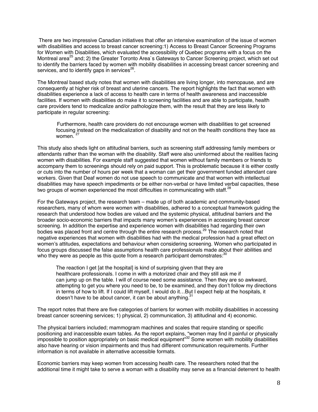There are two impressive Canadian initiatives that offer an intensive examination of the issue of women with disabilities and access to breast cancer screening:1) Access to Breast Cancer Screening Programs for Women with Disabilities, which evaluated the accessibility of Quebec programs with a focus on the Montreal area<sup>25</sup> and; 2) the Greater Toronto Area`s Gateways to Cancer Screening project, which set out to identify the barriers faced by women with mobility disabilities in accessing breast cancer screening and services, and to identify gaps in services $26$ .

The Montreal based study notes that women with disabilities are living longer, into menopause, and are consequently at higher risk of breast and uterine cancers. The report highlights the fact that women with disabilities experience a lack of access to health care in terms of health awareness and inaccessible facilities. If women with disabilities do make it to screening facilities and are able to participate, health care providers tend to medicalize and/or pathologize them, with the result that they are less likely to participate in regular screening:

Furthermore, health care providers do not encourage women with disabilities to get screened focusing instead on the medicalization of disability and not on the health conditions they face as women.<sup>27</sup>

This study also sheds light on attitudinal barriers, such as screening staff addressing family members or attendants rather than the woman with the disability. Staff were also uninformed about the realities facing women with disabilities. For example staff suggested that women without family members or friends to accompany them to screenings should rely on paid support. This is problematic because it is either costly or cuts into the number of hours per week that a woman can get their government funded attendant care workers. Given that Deaf women do not use speech to communicate and that women with intellectual disabilities may have speech impediments or be either non-verbal or have limited verbal capacities, these two groups of women experienced the most difficulties in communicating with staff.<sup>28</sup>

For the Gateways project, the research team – made up of both academic and community-based researchers, many of whom were women with disabilities, adhered to a conceptual framework guiding the research that understood how bodies are valued and the systemic physical, attitudinal barriers and the broader socio-economic barriers that impacts many women's experiences in accessing breast cancer screening. In addition the expertise and experience women with disabilities had regarding their own bodies was placed front and centre through the entire research process.<sup>29</sup> The research noted that negative experiences that women with disabilities had with the medical profession had a great effect on women's attitudes, expectations and behaviour when considering screening. Women who participated in focus groups discussed the false assumptions health care professionals made about their abilities and who they were as people as this quote from a research participant demonstrates: $30$ 

The reaction I get [at the hospital] is kind of surprising given that they are healthcare professionals. I come in with a motorized chair and they still ask me if can jump up on the table. I will of course need some assistance. Then they are so awkward, attempting to get you where you need to be, to be examined, and they don't follow my directions in terms of how to lift. If I could lift myself, I would do it…But I expect help at the hospitals, it doesn't have to be about cancer, it can be about anything. $31$ 

The report notes that there are five categories of barriers for women with mobility disabilities in accessing breast cancer screening services; 1) physical, 2) communication, 3) attitudinal and 4) economic.

The physical barriers included; mammogram machines and scales that require standing or specific positioning and inaccessible exam tables. As the report explains, "women may find it painful or physically impossible to position appropriately on basic medical equipment"32 Some women with mobility disabilities also have hearing or vision impairments and thus had different communication requirements. Further information is not available in alternative accessible formats.

Economic barriers may keep women from accessing health care. The researchers noted that the additional time it might take to serve a woman with a disability may serve as a financial deterrent to health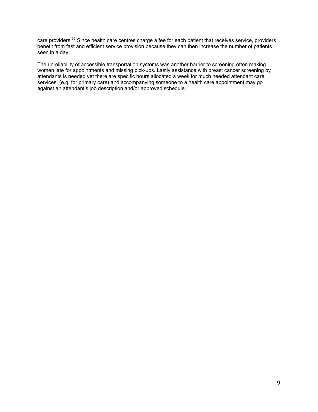care providers.<sup>33</sup> Since health care centres charge a fee for each patient that receives service, providers benefit from fast and efficient service provision because they can then increase the number of patients seen in a day.

The unreliability of accessible transportation systems was another barrier to screening often making women late for appointments and missing pick-ups. Lastly assistance with breast cancer screening by attendants is needed yet there are specific hours allocated a week for much needed attendant care services, (e.g. for primary care) and accompanying someone to a health care appointment may go against an attendant's job description and/or approved schedule.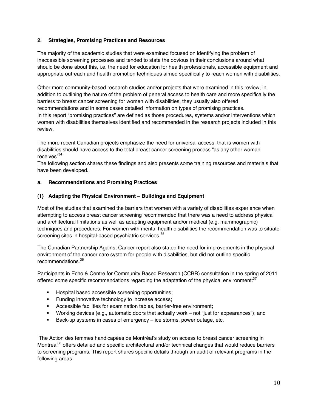#### **2. Strategies, Promising Practices and Resources**

The majority of the academic studies that were examined focused on identifying the problem of inaccessible screening processes and tended to state the obvious in their conclusions around what should be done about this, i.e. the need for education for health professionals, accessible equipment and appropriate outreach and health promotion techniques aimed specifically to reach women with disabilities.

Other more community-based research studies and/or projects that were examined in this review, in addition to outlining the nature of the problem of general access to health care and more specifically the barriers to breast cancer screening for women with disabilities, they usually also offered recommendations and in some cases detailed information on types of promising practices. In this report "promising practices" are defined as those procedures, systems and/or interventions which women with disabilities themselves identified and recommended in the research projects included in this review.

The more recent Canadian projects emphasize the need for universal access, that is women with disabilities should have access to the total breast cancer screening process "as any other woman receives"<sup>34</sup>

The following section shares these findings and also presents some training resources and materials that have been developed.

#### **a. Recommendations and Promising Practices**

#### **(1) Adapting the Physical Environment – Buildings and Equipment**

Most of the studies that examined the barriers that women with a variety of disabilities experience when attempting to access breast cancer screening recommended that there was a need to address physical and architectural limitations as well as adapting equipment and/or medical (e.g. mammographic) techniques and procedures. For women with mental health disabilities the recommendation was to situate screening sites in hospital-based psychiatric services.<sup>35</sup>

The Canadian Partnership Against Cancer report also stated the need for improvements in the physical environment of the cancer care system for people with disabilities, but did not outline specific recommendations.36

Participants in Echo & Centre for Community Based Research (CCBR) consultation in the spring of 2011 offered some specific recommendations regarding the adaptation of the physical environment:<sup>37</sup>

- **Hospital based accessible screening opportunities;**
- **Funding innovative technology to increase access;**
- Accessible facilities for examination tables, barrier-free environment;
- Working devices (e.g., automatic doors that actually work not "just for appearances"); and
- **Back-up systems in cases of emergency ice storms, power outage, etc.**

 The Action des femmes handicapées de Montréal's study on access to breast cancer screening in Montreal<sup>38</sup> offers detailed and specific architectural and/or technical changes that would reduce barriers to screening programs. This report shares specific details through an audit of relevant programs in the following areas: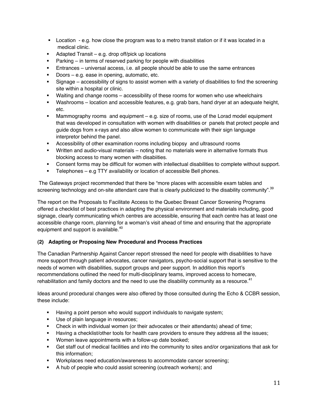- Location e.g. how close the program was to a metro transit station or if it was located in a medical clinic.
- Adapted Transit e.g. drop off/pick up locations
- $\blacksquare$  Parking in terms of reserved parking for people with disabilities
- Entrances universal access, i.e. all people should be able to use the same entrances
- **Doors e.g. ease in opening, automatic, etc.**
- Signage accessibility of signs to assist women with a variety of disabilities to find the screening site within a hospital or clinic.
- Waiting and change rooms accessibility of these rooms for women who use wheelchairs
- Washrooms location and accessible features, e.g. grab bars, hand dryer at an adequate height, etc.
- Mammography rooms and equipment e.g. size of rooms, use of the Lorad model equipment that was developed in consultation with women with disabilities or panels that protect people and guide dogs from x-rays and also allow women to communicate with their sign language interpretor behind the panel.
- Accessibility of other examination rooms including biopsy and ultrasound rooms
- Written and audio-visual materials noting that no materials were in alternative formats thus blocking access to many women with disabiities.
- Consent forms may be difficult for women with intellectual disabilities to complete without support.
- **Telephones e.g TTY availability or location of accessible Bell phones.**

 The Gateways project recommended that there be "more places with accessible exam tables and screening technology and on-site attendant care that is clearly publicized to the disability community".<sup>39</sup>

The report on the Proposals to Facilitate Access to the Quebec Breast Cancer Screening Programs offered a checklist of best practices in adapting the physical environment and materials including, good signage, clearly communicating which centres are accessible, ensuring that each centre has at least one accessible change room, planning for a woman's visit ahead of time and ensuring that the appropriate equipment and support is available.<sup>40</sup>

### **(2) Adapting or Proposing New Procedural and Process Practices**

The Canadian Partnership Against Cancer report stressed the need for people with disabilities to have more support through patient advocates, cancer navigators, psycho-social support that is sensitive to the needs of women with disabilities, support groups and peer support. In addition this report's recommendations outlined the need for multi-disciplinary teams, improved access to homecare, rehabilitation and family doctors and the need to use the disability community as a resource. $41$ 

Ideas around procedural changes were also offered by those consulted during the Echo & CCBR session, these include:

- **Having a point person who would support individuals to navigate system;**
- Use of plain language in resources;
- Check in with individual women (or their advocates or their attendants) ahead of time;
- Having a checklist/other tools for health care providers to ensure they address all the issues;
- **Women leave appointments with a follow-up date booked;**
- Get staff out of medical facilities and into the community to sites and/or organizations that ask for this information;
- **Workplaces need education/awareness to accommodate cancer screening;**
- A hub of people who could assist screening (outreach workers); and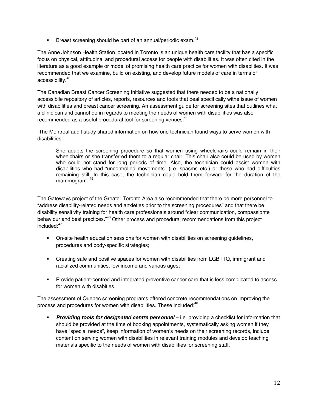**Breast screening should be part of an annual/periodic exam.**<sup>42</sup>

The Anne Johnson Health Station located in Toronto is an unique health care facility that has a specific focus on physical, atttitudinal and procedural access for people with disabilities. It was often cited in the literature as a good example or model of promising health care practice for women with disabiities. It was recommended that we examine, build on existing, and develop future models of care in terms of accessibility.43

The Canadian Breast Cancer Screening Initiative suggested that there needed to be a nationally accessibile repository of articles, reports, resources and tools that deal specifically withe issue of women with disabilities and breast cancer screening. An assessment guide for screening sites that outlines what a clinic can and cannot do in regards to meeting the needs of women with disabilities was also recommended as a useful procedural tool for screening venues.<sup>44</sup>

 The Montreal audit study shared information on how one technician found ways to serve women with disabilities:

She adapts the screening procedure so that women using wheelchairs could remain in their wheelchairs or she transferred them to a regular chair. This chair also could be used by women who could not stand for long periods of time. Also, the technician could assist women with disabilities who had "uncontrolled movements" (i.e. spasms etc.) or those who had difficulties remaining still. In this case, the technician could hold them forward for the duration of the mammogram. <sup>45</sup>

The Gateways project of the Greater Toronto Area also recommended that there be more personnel to "address disability-related needs and anxieties prior to the screening procedures" and that there be disability sensitivity training for health care professionals around "clear communication, compassionte behaviour and best practices."<sup>46</sup> Other process and procedural recommendations from this project included:47

- On-site health education sessions for women with disabilities on screening guidelines, procedures and body-specific strategies;
- Creating safe and positive spaces for women with disabilities from LGBTTQ, immigrant and racialized communities, low income and various ages;
- Provide patient-centred and integrated preventive cancer care that is less complicated to access for women with disabities.

The assessment of Quebec screening programs offered concrete recommendations on improving the process and procedures for women with disabilities. These included:<sup>48</sup>

 *Providing tools for designated centre personnel* – i.e. providing a checklist for information that should be provided at the time of booking appointments, systematically asking women if they have "special needs", keep information of women's needs on their screening records, include content on serving women with disabilities in relevant training modules and develop teaching materials specific to the needs of women with disabilities for screening staff.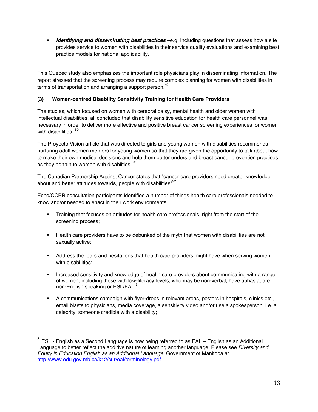**I** Identifying and disseminating best practices –e.g. Including questions that assess how a site provides service to women with disabilities in their service quality evaluations and examining best practice models for national applicability.

This Quebec study also emphasizes the important role physicians play in disseminating information. The report stressed that the screening process may require complex planning for women with disabilities in terms of transportation and arranging a support person.<sup>49</sup>

## **(3) Women-centred Disability Sensitivity Training for Health Care Providers**

The studies, which focused on women with cerebral palsy, mental health and older women with intellectual disabilities, all concluded that disability sensitive education for health care personnel was necessary in order to deliver more effective and positive breast cancer screening experiences for women with disabilities.<sup>50</sup>

The Proyecto Vision article that was directed to girls and young women with disabilities recommends nurturing adult women mentors for young women so that they are given the opportunity to talk about how to make their own medical decisions and help them better understand breast cancer prevention practices as they pertain to women with disabiities.  $51$ 

The Canadian Partnership Against Cancer states that "cancer care providers need greater knowledge about and better attitudes towards, people with disabilities"<sup>52</sup>

Echo/CCBR consultation participants identified a number of things health care professionals needed to know and/or needed to enact in their work environments:

- Training that focuses on attitudes for health care professionals, right from the start of the screening process;
- Health care providers have to be debunked of the myth that women with disabilities are not sexually active;
- Address the fears and hesitations that health care providers might have when serving women with disabilities;
- **Increased sensitivity and knowledge of health care providers about communicating with a range** of women, including those with low-literacy levels, who may be non-verbal, have aphasia, are non-English speaking or ESL/EAL 3
- A communications campaign with flyer-drops in relevant areas, posters in hospitals, clinics etc., email blasts to physicians, media coverage, a sensitivity video and/or use a spokesperson, i.e. a celebrity, someone credible with a disability;

 $\overline{a}$  $^3$  ESL - English as a Second Language is now being referred to as EAL – English as an Additional Language to better reflect the additive nature of learning another language. Please see *Diversity and Equity in Education English as an Additional Language*. Government of Manitoba at http://www.edu.gov.mb.ca/k12/cur/eal/terminology.pdf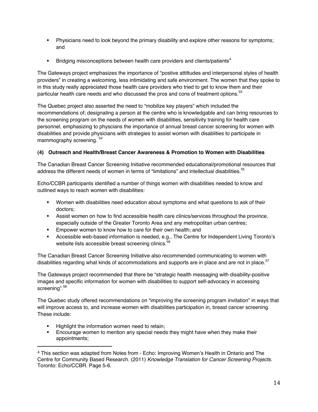- **Physicians need to look beyond the primary disability and explore other reasons for symptoms;** and
- **Bridging misconceptions between health care providers and clients/patients**<sup>4</sup>

The Gateways project emphasizes the importance of "postive attittudes and interpersonal styles of health providers" in creating a welcoming, less intimidating and safe environment. The women that they spoke to in this study really appreciated those health care providers who tried to get to know them and their particular health care needs and who discussed the pros and cons of treatment options.<sup>53</sup>

The Quebec project also asserted the need to "mobilize key players" which included the recommendations of; designating a person at the centre who is knowledgable and can bring resources to the screening program on the needs of women with disabilities, sensitivity training for health care personnel, emphasizing to physcians the importance of annual breast cancer screening for women with disabilities and provide physicians with strategies to assist women with disablities to participate in mammography screening.  $54$ 

# **(4) Outreach and Health/Breast Cancer Awareness & Promotion to Women with Disabilities**

The Canadian Breast Cancer Screening Initiative recommended educational/promotional resources that address the different needs of women in terms of "limitations" and intellectual disabilities.<sup>55</sup>

Echo/CCBR participants identified a number of things women with disabilities needed to know and outlined ways to reach women with disabilities:

- Women with disabilities need education about symptoms and what questions to ask of their doctors;
- **Assist women on how to find accessible health care clinics/services throughout the province,** especially outside of the Greater Toronto Area and any metropolitan urban centres;
- **Empower women to know how to care for their own health; and**
- Accessible web-based information is needed, e.g., The Centre for Independent Living Toronto's website lists accessible breast screening clinics.<sup>56</sup>

The Canadian Breast Cancer Screening Initiative also recommended communicating to women with disabilities regarding what kinds of accommodations and supports are in place and are not in place.<sup>57</sup>

The Gateways project recommended that there be "strategic health messaging with disability-positive images and specific information for women with disabilities to support self-advocacy in accessing screening".<sup>58</sup>

The Quebec study offered recommendations on "improving the screening program invitation" in ways that will improve access to, and increase women with disabilities participation in, breast cancer screening. These include:

- Highlight the information women need to retain;<br>■ Encourage women to mention any special need
- Encourage women to mention any special needs they might have when they make their appointments;

I  $4$  This section was adapted from Notes from  $\overline{\phantom{a}}$  Echo: Improving Women's Health in Ontario and The Centre for Community Based Research. (2011) *Knowledge Translation for Cancer Screening Projects*. Toronto: Echo/CCBR. Page 5-6.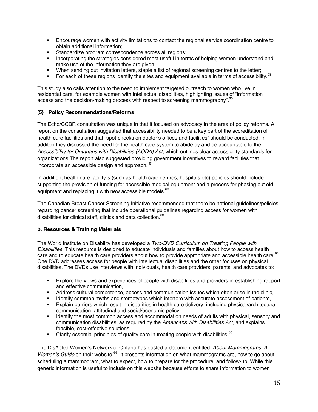- Encourage women with activity limitations to contact the regional service coordination centre to obtain additional information;
- Standardize program correspondence across all regions:
- **Incorporating the strategies considered most useful in terms of helping women understand and** make use of the information they are given;
- When sending out invitation letters, staple a list of regional screening centres to the letter;
- For each of these regions identify the sites and equipment available in terms of accessibility.<sup>59</sup>

This study also calls attention to the need to implement targeted outreach to women who live in residential care, for example women with intellectual disabilities, highlighting issues of "information access and the decision-making process with respect to screening mammography".<sup>60</sup>

#### **(5) Policy Recommendations/Reforms**

The Echo/CCBR consultation was unique in that it focused on advocacy in the area of policy reforms. A report on the consultation suggested that accessibility needed to be a key part of the accreditation of health care facilities and that "spot-checks on doctor's offices and facilities" should be conducted. In additon they discussed the need for the health care system to abide by and be accountable to the Accessibility for Ontarians with Disabilities (AODA) Act, which outlines clear accessibility standards for organizations.The report also suggested providing government incentives to reward facilities that incorporate an accessible design and approach. <sup>61</sup>

In addition, health care facility`s (such as health care centres, hospitals etc) policies should include supporting the provision of funding for accessible medical equipment and a process for phasing out old equipment and replacing it with new accessible models.<sup>62</sup>

The Canadian Breast Cancer Screening Initiative recommended that there be national guidelines/policies regarding cancer screening that include operational guidelines regarding access for women with disabilities for clinical staff, clinics and data collection.<sup>63</sup>

### **b. Resources & Training Materials**

The World Institute on Disability has developed a *Two-DVD Curriculum on Treating People with Disabilities*. This resource is designed to educate individuals and families about how to access health care and to educate health care providers about how to provide appropriate and accessible health care. 64 One DVD addresses access for people with intellectual disabilities and the other focuses on physical disabilities. The DVDs use interviews with individuals, health care providers, parents, and advocates to:

- Explore the views and experiences of people with disabilities and providers in establishing rapport and effective communication,
- Address cultural competence, access and communication issues which often arise in the clinic,
- Identify common myths and stereotypes which interfere with accurate assessment of patients,
- Explain barriers which result in disparities in health care delivery, including physical/architectural, communication, attitudinal and social/economic policy,
- **IDENTIFY 19 IDENTIFY 10 IDENTIFY 10 IDENTIFY 10 IDENTIFY AT ADDED** 10 IDENTIFY And The most common access and accommodation needs of adults with physical, sensory and communication disabilities, as required by the *Americans with Disabilities Act,* and explains feasible, cost-effective solutions,
- Clarify essential principles of quality care in treating people with disabilities. $65$

The DisAbled Women's Network of Ontario has posted a document entitled: *About Mammograms: A Woman's Guide* on their website.<sup>66</sup> It presents information on what mammograms are, how to go about scheduling a mammogram, what to expect, how to prepare for the procedure, and follow-up. While this generic information is useful to include on this website because efforts to share information to women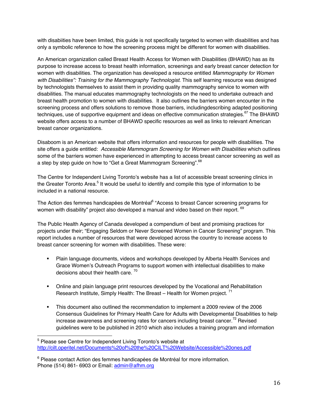with disabiities have been limited, this guide is not specifically targeted to women with disabilities and has only a symbolic reference to how the screening process might be different for women with disabilities.

An American organization called Breast Health Access for Women with Disabilities (BHAWD) has as its purpose to increase access to breast health information, screenings and early breast cancer detection for women with disabilities. The organization has developed a resource entitled *Mammography for Women*  with Disabilities": Training for the Mammography Technologist. This self learning resource was designed by technologists themselves to assist them in providing quality mammography service to women with disabilities. The manual educates mammography technologists on the need to undertake outreach and breast health promotion to women with disabilities. It also outlines the barriers women encounter in the screening process and offers solutions to remove those barriers, includingdescribing adapted positioning techniques, use of supportive equipment and ideas on effective communication strategies.<sup>67</sup> The BHAWD website offers access to a number of BHAWD specific resources as well as links to relevant American breast cancer organizations.

Disaboom is an American website that offers information and resources for people with disabilities. The site offers a guide entitled: *Accessible Mammogram Screening for Women with Disabilities* which outlines some of the barriers women have experienced in attempting to access breast cancer screening as well as a step by step guide on how to "Get a Great Mammogram Screening".<sup>68</sup>

The Centre for Independent Living Toronto's website has a list of accessible breast screening clinics in the Greater Toronto Area.<sup>5</sup> It would be useful to identify and compile this type of information to be included in a national resource.

The Action des femmes handicapées de Montréal<sup>6</sup> "Access to breast Cancer screening programs for women with disability" project also developed a manual and video based on their report. <sup>69</sup>

The Public Health Agency of Canada developed a compendium of best and promising practices for projects under their; "Engaging Seldom or Never Screened Women in Cancer Screening" program. This report includes a number of resources that were developed across the country to increase access to breast cancer screening for women with disabilities. These were:

- Plain language documents, videos and workshops developed by Alberta Health Services and Grace Women's Outreach Programs to support women with intellectual disabilities to make decisions about their health care.  $70$
- Online and plain language print resources developed by the Vocational and Rehabilitation Research Institute, Simply Health: The Breast  $-$  Health for Women project.  $71$
- This document also outlined the recommendation to implement a 2009 review of the 2006 Consensus Guidelines for Primary Health Care for Adults with Developmental Disabilities to help increase awareness and screening rates for cancers including breast cancer.<sup>72</sup> Revised guidelines were to be published in 2010 which also includes a training program and information

 5 Please see Centre for Independent Living Toronto's website at http://cilt.operitel.net/Documents%20of%20the%20CILT%20Website/Accessible%20ones.pdf

<sup>&</sup>lt;sup>6</sup> Please contact Action des femmes handicapées de Montréal for more information. Phone (514) 861- 6903 or Email: admin@afhm.org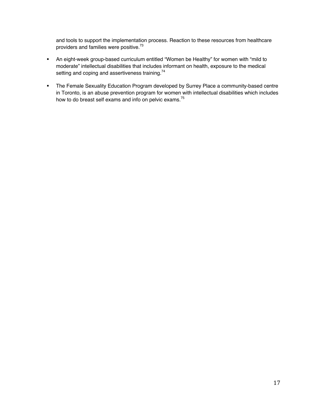and tools to support the implementation process. Reaction to these resources from healthcare providers and families were positive.73

- An eight-week group-based curriculum entitled "Women be Healthy" for women with "mild to moderate" intellectual disabilities that includes informant on health, exposure to the medical setting and coping and assertiveness training.<sup>74</sup>
- **The Female Sexuality Education Program developed by Surrey Place a community-based centre** in Toronto, is an abuse prevention program for women with intellectual disabilities which includes how to do breast self exams and info on pelvic exams.<sup>75</sup>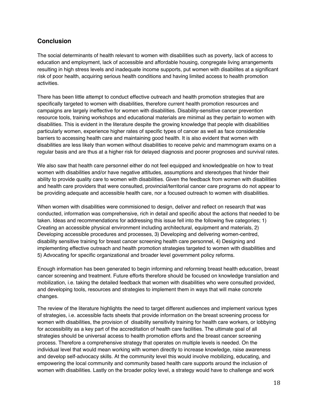# **Conclusion**

The social determinants of health relevant to women with disabilities such as poverty, lack of access to education and employment, lack of accessible and affordable housing, congregate living arrangements resulting in high stress levels and inadequate income supports, put women with disabilites at a significant risk of poor health, acquiring serious health conditions and having limited access to health promotion activities.

There has been little attempt to conduct effective outreach and health promotion strategies that are specifically targeted to women with disabilities, therefore current health promotion resources and campaigns are largely ineffective for women with disabilities. Disability-sensitive cancer prevention resource tools, training workshops and educational materials are minimal as they pertain to women with disabilities. This is evident in the literature despite the growing knowledge that people with disabilities particularly women, experience higher rates of specific types of cancer as well as face considerable barriers to accessing health care and maintaining good health. It is also evident that women with disabilities are less likely than women without disabilities to receive pelvic and mammogram exams on a regular basis and are thus at a higher risk for delayed diagnosis and poorer prognoses and survival rates.

We also saw that health care personnel either do not feel equipped and knowledgeable on how to treat women with disabilities and/or have negative attitudes, assumptions and stereotypes that hinder their ability to provide quality care to women with disabilities. Given the feedback from women with disabilities and health care providers that were consulted, provincial/territorial cancer care programs do not appear to be providing adequate and accessible health care, nor a focused outreach to women with disabilities.

When women with disabilities were commisioned to design, deliver and reflect on research that was conducted, information was comprehensive, rich in detail and specific about the actions that needed to be taken. Ideas and recommendations for addressing this issue fell into the following five categories; 1) Creating an accessible physical environment including architectural, equipment and materials, 2) Developing accessible procedures and processes, 3) Developing and delivering women-centred, disability sensitive training for breast cancer screening health care personnel, 4) Designing and implementing effective outreach and health promotion strategies targeted to women with disabilities and 5) Advocating for specific organizational and broader level government policy reforms.

Enough information has been generated to begin informing and reforming breast health education, breast cancer screening and treatment. Future efforts therefore should be focused on knowledge translation and mobilization, i.e. taking the detailed feedback that women with disabilities who were consulted provided, and developing tools, resources and strategies to implement them in ways that will make concrete changes.

The review of the literature highlights the need to target different audiences and implement various types of strategies, i.e. accessible facts sheets that provide information on the breast screening process for women with disabilities, the provision of disability sensitivity training for health care workers, or lobbying for accessibility as a key part of the accreditation of health care facilities. The ultimate goal of all strategies should be universal access to health promotion efforts and the breast cancer screening process. Therefore a comprehensive strategy that operates on multiple levels is needed. On the individual level that would mean working with women directly to increase knowledge, raise awareness and develop self-advocacy skills. At the community level this would involve mobilizing, educating, and empowering the local community and community based health care supports around the inclusion of women with disabilities. Lastly on the broader policy level, a strategy would have to challenge and work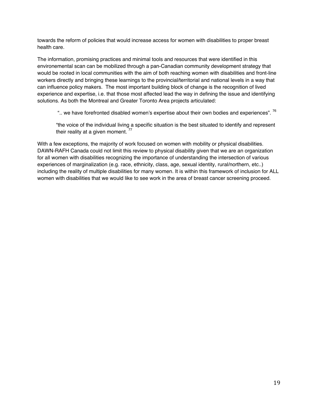towards the reform of policies that would increase access for women with disabilities to proper breast health care.

The information, promising practices and minimal tools and resources that were identified in this environemental scan can be mobilized through a pan-Canadian community development strategy that would be rooted in local communities with the aim of both reaching women with disabilities and front-line workers directly and bringing these learnings to the provincial/territorial and national levels in a way that can influence policy makers. The most important building block of change is the recognition of lived experience and expertise, i.e. that those most affected lead the way in defining the issue and identifying solutions. As both the Montreal and Greater Toronto Area projects articulated:

".. we have forefronted disabled women's expertise about their own bodies and experiences". <sup>76</sup>

"the voice of the individual living a specific situation is the best situated to identify and represent their reality at a given moment.  $77$ 

With a few exceptions, the majority of work focused on women with mobility or physical disabilities. DAWN-RAFH Canada could not limit this review to physical disability given that we are an organization for all women with disabilities recognizing the importance of understanding the intersection of various experiences of marginalization (e.g. race, ethnicity, class, age, sexual identity, rural/northern, etc..) including the reality of multiple disabilities for many women. It is within this framework of inclusion for ALL women with disabilities that we would like to see work in the area of breast cancer screening proceed.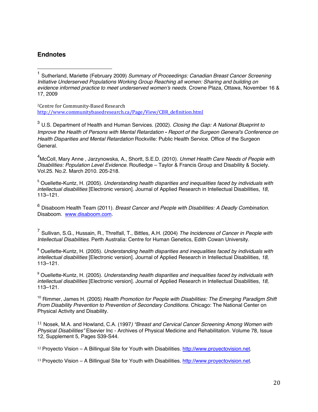# **Endnotes**

2Centre for Community-Based Research http://www.communitybasedresearch.ca/Page/View/CBR\_definition.html

<sup>3</sup> U.S. Department of Health and Human Services. (2002). *Closing the Gap: A National Blueprint to Improve the Health of Persons with Mental Retardation - Report of the Surgeon General's Conference on Health Disparities and Mental Retardation* Rockville: Public Health Service. Office of the Surgeon General.

4 McColl, Mary Anne , Jarzynowska, A., Shortt, S.E.D. (2010). *Unmet Health Care Needs of People with Disabilities: Population Level Evidence.* Routledge – Taylor & Francis Group and Disability & Society. Vol.25. No.2. March 2010. 205-218.

5 Ouellette-Kuntz, H. (2005). *Understanding health disparities and inequalities faced by individuals with intellectual disabilities* [Electronic version]. Journal of Applied Research in Intellectual Disabilities*, 18,*  113–121.

<sup>6</sup> Disaboom Health Team (2011). *Breast Cancer and People with Disabilities: A Deadly Combination*. Disaboom. www.disaboom.com.

<sup>7</sup> Sullivan, S.G., Hussain, R., Threlfall, T., Bittles, A.H. (2004) *The Incidences of Cancer in People with Intellectual Disabilities*. Perth Australia: Centre for Human Genetics, Edith Cowan University.

8 Ouellette-Kuntz, H. (2005). *Understanding health disparities and inequalities faced by individuals with intellectual disabilities* [Electronic version]. Journal of Applied Research in Intellectual Disabilities*, 18,*  113–121.

9 Ouellette-Kuntz, H. (2005). *Understanding health disparities and inequalities faced by individuals with intellectual disabilities* [Electronic version]. Journal of Applied Research in Intellectual Disabilities*, 18,*  113–121.

<sup>10</sup> Rimmer, James H. (2005) *Health Promotion for People with Disabilities: The Emerging Paradigm Shift From Disability Prevention to Prevention of Secondary Conditions*. Chicago: The National Center on Physical Activity and Disability.

11 Nosek, M.A. and Howland, C.A. (1997*) "Breast and Cervical Cancer Screening Among Women with Physical Disabilities"* Elsevier Inc - Archives of Physical Medicine and Rehabilitation. Volume 78, Issue 12, Supplement 5, Pages S39-S44.

<sup>12</sup> Proyecto Vision – A Billingual Site for Youth with Disabilities. http://www.proyectovision.net.

<sup>13</sup> Proyecto Vision – A Billingual Site for Youth with Disabilities. http://www.proyectovision.net.

 $\frac{1}{4}$ <sup>1</sup> Sutherland, Mariette (February 2009) *Summary of Proceedings: Canadian Breast Cancer Screening Initiative Underserved Populations Working Group Reaching all women: Sharing and building on evidence informed practice to meet underserved women's needs*. Crowne Plaza, Ottawa, November 16 & 17, 2009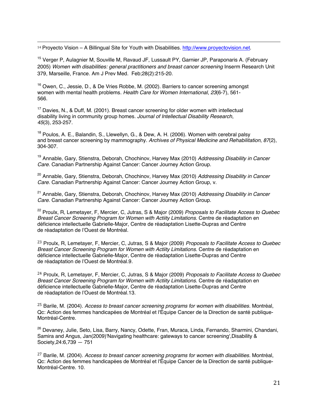14 Proyecto Vision – A Billingual Site for Youth with Disabilities. http://www.proyectovision.net.

<sup>15</sup> Verger P, Aulagnier M, Souville M, Ravaud JF, Lussault PY, Garnier JP, Paraponaris A. (February 2005) *Women with disabilities: general practitioners and breast cancer screening* Inserm Research Unit 379, Marseille, France. Am J Prev Med. Feb;28(2):215-20.

 $16$  Owen, C., Jessie, D., & De Vries Robbe, M. (2002). Barriers to cancer screening amongst women with mental health problems*. Health Care for Women International*, *23*(6-7), 561- 566.

 $17$  Davies, N., & Duff, M. (2001). Breast cancer screening for older women with intellectual disability living in community group homes*. Journal of Intellectual Disability Research*, *45*(3), 253-257.

<sup>18</sup> Poulos, A. E., Balandin, S., Llewellyn, G., & Dew, A. H. (2006). Women with cerebral palsy and breast cancer screening by mammography*. Archives of Physical Medicine and Rehabilitation*, *87*(2), 304-307.

19 Annable, Gary, Stienstra, Deborah, Chochinov, Harvey Max (2010) *Addressing Disability in Cancer Care*. Canadian Partnership Against Cancer: Cancer Journey Action Group.

20 Annable, Gary, Stienstra, Deborah, Chochinov, Harvey Max (2010) *Addressing Disability in Cancer Care*. Canadian Partnership Against Cancer: Cancer Journey Action Group, v.

21 Annable, Gary, Stienstra, Deborah, Chochinov, Harvey Max (2010) *Addressing Disability in Cancer Care*. Canadian Partnership Against Cancer: Cancer Journey Action Group.

22 Proulx, R, Lemetayer, F, Mercier, C, Jutras, S & Major (2009) *Proposals to Facilitate Access to Quebec Breast Cancer Screening Program for Women with Actiity Limitations*. Centre de réadaptation en déficience intellectuelle Gabrielle-Major, Centre de réadaptation Lisette-Dupras and Centre de réadaptation de l'Ouest de Montréal.

23 Proulx, R, Lemetayer, F, Mercier, C, Jutras, S & Major (2009) *Proposals to Facilitate Access to Quebec Breast Cancer Screening Program for Women with Actiity Limitations*. Centre de réadaptation en déficience intellectuelle Gabrielle-Major, Centre de réadaptation Lisette-Dupras and Centre de réadaptation de l'Ouest de Montréal.9.

24 Proulx, R, Lemetayer, F, Mercier, C, Jutras, S & Major (2009) *Proposals to Facilitate Access to Quebec Breast Cancer Screening Program for Women with Actiity Limitations*. Centre de réadaptation en déficience intellectuelle Gabrielle-Major, Centre de réadaptation Lisette-Dupras and Centre de réadaptation de l'Ouest de Montréal.13.

25 Barile, M. (2004). *Access to breast cancer screening programs for women with disabilities*. Montréal, Qc: Action des femmes handicapées de Montréal et l'Équipe Cancer de la Direction de santé publique-Montréal-Centre.

26 Devaney, Julie, Seto, Lisa, Barry, Nancy, Odette, Fran, Muraca, Linda, Fernando, Sharmini, Chandani, Samira and Angus, Jan(2009)'Navigating healthcare: gateways to cancer screening',Disability & Society,24:6,739 — 751

27 Barile, M. (2004). *Access to breast cancer screening programs for women with disabilities*. Montréal, Qc: Action des femmes handicapées de Montréal et l'Équipe Cancer de la Direction de santé publique-Montréal-Centre. 10.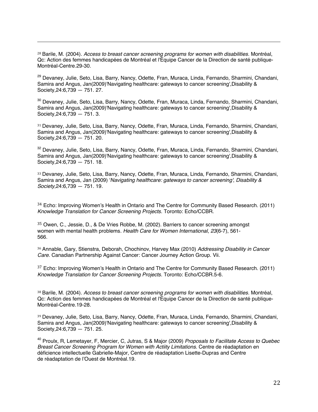<sup>28</sup> Barile, M. (2004). *Access to breast cancer screening programs for women with disabilities*. Montréal, Qc: Action des femmes handicapées de Montréal et l'Équipe Cancer de la Direction de santé publique-Montréal-Centre.29-30.

1

<sup>29</sup> Devaney, Julie, Seto, Lisa, Barry, Nancy, Odette, Fran, Muraca, Linda, Fernando, Sharmini, Chandani, Samira and Angus, Jan(2009)'Navigating healthcare: gateways to cancer screening',Disability & Society,24:6,739 — 751. 27.

30 Devaney, Julie, Seto, Lisa, Barry, Nancy, Odette, Fran, Muraca, Linda, Fernando, Sharmini, Chandani, Samira and Angus, Jan(2009)'Navigating healthcare: gateways to cancer screening',Disability & Society,24:6,739 — 751. 3.

<sup>31</sup> Devaney, Julie, Seto, Lisa, Barry, Nancy, Odette, Fran, Muraca, Linda, Fernando, Sharmini, Chandani, Samira and Angus, Jan(2009)'Navigating healthcare: gateways to cancer screening',Disability & Society,24:6,739 — 751. 20.

32 Devaney, Julie, Seto, Lisa, Barry, Nancy, Odette, Fran, Muraca, Linda, Fernando, Sharmini, Chandani, Samira and Angus, Jan(2009)'Navigating healthcare: gateways to cancer screening',Disability & Society,24:6,739 — 751. 18.

<sup>33</sup> Devaney, Julie, Seto, Lisa, Barry, Nancy, Odette, Fran, Muraca, Linda, Fernando, Sharmini, Chandani, Samira and Angus, Jan (2009) '*Navigating healthcare: gateways to cancer screening'*, *Disability & Society,*24:6,739 — 751. 19.

34 Echo: Improving Women's Health in Ontario and The Centre for Community Based Research. (2011) *Knowledge Translation for Cancer Screening Projects*. Toronto: Echo/CCBR.

35 Owen, C., Jessie, D., & De Vries Robbe, M. (2002). Barriers to cancer screening amongst women with mental health problems*. Health Care for Women International*, *23*(6-7), 561- 566.

<sup>36</sup> Annable, Gary, Stienstra, Deborah, Chochinov, Harvey Max (2010) *Addressing Disability in Cancer Care*. Canadian Partnership Against Cancer: Cancer Journey Action Group. Vii.

 $37$  Echo: Improving Women's Health in Ontario and The Centre for Community Based Research. (2011) *Knowledge Translation for Cancer Screening Projects*. Toronto: Echo/CCBR.5-6.

<sup>38</sup> Barile, M. (2004). *Access to breast cancer screening programs for women with disabilities*. Montréal, Qc: Action des femmes handicapées de Montréal et l'Équipe Cancer de la Direction de santé publique-Montréal-Centre.19-28.

<sup>39</sup> Devaney, Julie, Seto, Lisa, Barry, Nancy, Odette, Fran, Muraca, Linda, Fernando, Sharmini, Chandani, Samira and Angus, Jan(2009)'Navigating healthcare: gateways to cancer screening',Disability & Society,24:6,739 — 751. 25.

40 Proulx, R, Lemetayer, F, Mercier, C, Jutras, S & Major (2009) *Proposals to Facilitate Access to Quebec Breast Cancer Screening Program for Women with Actiity Limitations*. Centre de réadaptation en déficience intellectuelle Gabrielle-Major, Centre de réadaptation Lisette-Dupras and Centre de réadaptation de l'Ouest de Montréal.19.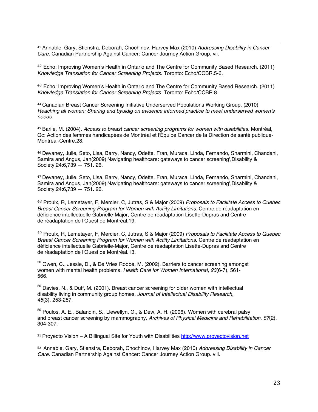41 Annable, Gary, Stienstra, Deborah, Chochinov, Harvey Max (2010) *Addressing Disability in Cancer Care*. Canadian Partnership Against Cancer: Cancer Journey Action Group. vii.

42 Echo: Improving Women's Health in Ontario and The Centre for Community Based Research. (2011) *Knowledge Translation for Cancer Screening Projects*. Toronto: Echo/CCBR.5-6.

43 Echo: Improving Women's Health in Ontario and The Centre for Community Based Research. (2011) *Knowledge Translation for Cancer Screening Projects*. Toronto: Echo/CCBR.8.

<sup>44</sup> Canadian Breast Cancer Screening Initiative Underserved Populations Working Group. (2010) *Reaching all women: Sharing and byuidig on evidence informed practice to meet underserved women's needs*.

<sup>45</sup> Barile, M. (2004). *Access to breast cancer screening programs for women with disabilities*. Montréal, Qc: Action des femmes handicapées de Montréal et l'Équipe Cancer de la Direction de santé publique-Montréal-Centre.28.

<sup>46</sup> Devaney, Julie, Seto, Lisa, Barry, Nancy, Odette, Fran, Muraca, Linda, Fernando, Sharmini, Chandani, Samira and Angus, Jan(2009)'Navigating healthcare: gateways to cancer screening',Disability & Society,24:6,739 — 751. 26.

<sup>47</sup> Devaney, Julie, Seto, Lisa, Barry, Nancy, Odette, Fran, Muraca, Linda, Fernando, Sharmini, Chandani, Samira and Angus, Jan(2009)'Navigating healthcare: gateways to cancer screening',Disability & Society,24:6,739 — 751. 26.

48 Proulx, R, Lemetayer, F, Mercier, C, Jutras, S & Major (2009) *Proposals to Facilitate Access to Quebec Breast Cancer Screening Program for Women with Actiity Limitations*. Centre de réadaptation en déficience intellectuelle Gabrielle-Major, Centre de réadaptation Lisette-Dupras and Centre de réadaptation de l'Ouest de Montréal.19.

49 Proulx, R, Lemetayer, F, Mercier, C, Jutras, S & Major (2009) *Proposals to Facilitate Access to Quebec Breast Cancer Screening Program for Women with Actiity Limitations*. Centre de réadaptation en déficience intellectuelle Gabrielle-Major, Centre de réadaptation Lisette-Dupras and Centre de réadaptation de l'Ouest de Montréal.13.

50 Owen, C., Jessie, D., & De Vries Robbe, M. (2002). Barriers to cancer screening amongst women with mental health problems*. Health Care for Women International*, *23*(6-7), 561- 566.

<sup>50</sup> Davies, N., & Duff, M. (2001). Breast cancer screening for older women with intellectual disability living in community group homes*. Journal of Intellectual Disability Research*, *45*(3), 253-257.

50 Poulos, A. E., Balandin, S., Llewellyn, G., & Dew, A. H. (2006). Women with cerebral palsy and breast cancer screening by mammography*. Archives of Physical Medicine and Rehabilitation*, *87*(2), 304-307.

<sup>51</sup> Proyecto Vision – A Billingual Site for Youth with Disabilities http://www.proyectovision.net.

52 Annable, Gary, Stienstra, Deborah, Chochinov, Harvey Max (2010) *Addressing Disability in Cancer Care*. Canadian Partnership Against Cancer: Cancer Journey Action Group. viii.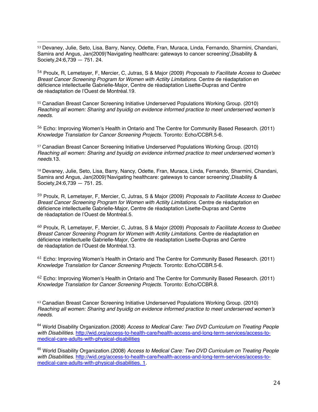53 Devaney, Julie, Seto, Lisa, Barry, Nancy, Odette, Fran, Muraca, Linda, Fernando, Sharmini, Chandani, Samira and Angus, Jan(2009)'Navigating healthcare: gateways to cancer screening',Disability & Society,24:6,739 — 751. 24.

54 Proulx, R, Lemetayer, F, Mercier, C, Jutras, S & Major (2009) *Proposals to Facilitate Access to Quebec Breast Cancer Screening Program for Women with Actiity Limitations*. Centre de réadaptation en déficience intellectuelle Gabrielle-Major, Centre de réadaptation Lisette-Dupras and Centre de réadaptation de l'Ouest de Montréal.19.

<sup>55</sup> Canadian Breast Cancer Screening Initiative Underserved Populations Working Group. (2010) *Reaching all women: Sharing and byuidig on evidence informed practice to meet underserved women's needs*.

56 Echo: Improving Women's Health in Ontario and The Centre for Community Based Research. (2011) *Knowledge Translation for Cancer Screening Projects*. Toronto: Echo/CCBR.5-6.

<sup>57</sup> Canadian Breast Cancer Screening Initiative Underserved Populations Working Group. (2010) *Reaching all women: Sharing and byuidig on evidence informed practice to meet underserved women's needs*.13.

<sup>58</sup> Devaney, Julie, Seto, Lisa, Barry, Nancy, Odette, Fran, Muraca, Linda, Fernando, Sharmini, Chandani, Samira and Angus, Jan(2009)'Navigating healthcare: gateways to cancer screening',Disability & Society,24:6,739 — 751. 25.

59 Proulx, R, Lemetayer, F, Mercier, C, Jutras, S & Major (2009) *Proposals to Facilitate Access to Quebec Breast Cancer Screening Program for Women with Actiity Limitations*. Centre de réadaptation en déficience intellectuelle Gabrielle-Major, Centre de réadaptation Lisette-Dupras and Centre de réadaptation de l'Ouest de Montréal.5.

60 Proulx, R, Lemetayer, F, Mercier, C, Jutras, S & Major (2009) *Proposals to Facilitate Access to Quebec Breast Cancer Screening Program for Women with Actiity Limitations*. Centre de réadaptation en déficience intellectuelle Gabrielle-Major, Centre de réadaptation Lisette-Dupras and Centre de réadaptation de l'Ouest de Montréal.13.

 $61$  Echo: Improving Women's Health in Ontario and The Centre for Community Based Research. (2011) *Knowledge Translation for Cancer Screening Projects*. Toronto: Echo/CCBR.5-6.

62 Echo: Improving Women's Health in Ontario and The Centre for Community Based Research. (2011) *Knowledge Translation for Cancer Screening Projects*. Toronto: Echo/CCBR.8.

<sup>63</sup> Canadian Breast Cancer Screening Initiative Underserved Populations Working Group. (2010) *Reaching all women: Sharing and byuidig on evidence informed practice to meet underserved women's needs*.

64 World Disability Organization.(2008) *Access to Medical Care: Two DVD Curriculum on Treating People with Disabilities*. http://wid.org/access-to-health-care/health-access-and-long-term-services/access-tomedical-care-adults-with-physical-disabilities

65 World Disability Organization.(2008) *Access to Medical Care: Two DVD Curriculum on Treating People with Disabilities*. http://wid.org/access-to-health-care/health-access-and-long-term-services/access-tomedical-care-adults-with-physical-disabilities. 1.